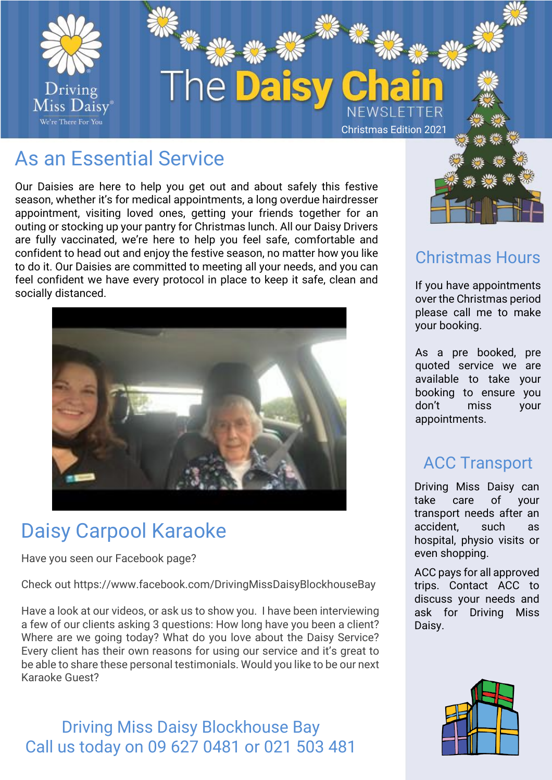

## As an Essential Service

Our Daisies are here to help you get out and about safely this festive season, whether it's for medical appointments, a long overdue hairdresser appointment, visiting loved ones, getting your friends together for an outing or stocking up your pantry for Christmas lunch. All our Daisy Drivers are fully vaccinated, we're here to help you feel safe, comfortable and confident to head out and enjoy the festive season, no matter how you like to do it. Our Daisies are committed to meeting all your needs, and you can feel confident we have every protocol in place to keep it safe, clean and socially distanced.



## Daisy Carpool Karaoke

Have you seen our Facebook page?

Check out https://www.facebook.com/DrivingMissDaisyBlockhouseBay

Have a look at our videos, or ask us to show you. I have been interviewing a few of our clients asking 3 questions: How long have you been a client? Where are we going today? What do you love about the Daisy Service? Every client has their own reasons for using our service and it's great to be able to share these personal testimonials. Would you like to be our next Karaoke Guest?

#### Driving Miss Daisy Blockhouse Bay Call us today on 09 627 0481 or 021 503 481



### Christmas Hours

If you have appointments over the Christmas period please call me to make your booking.

As a pre booked, pre quoted service we are available to take your booking to ensure you don't miss your appointments.

## ACC Transport

Driving Miss Daisy can take care of your transport needs after an accident, such as hospital, physio visits or even shopping.

ACC pays for all approved trips. Contact ACC to discuss your needs and ask for Driving Miss Daisy.